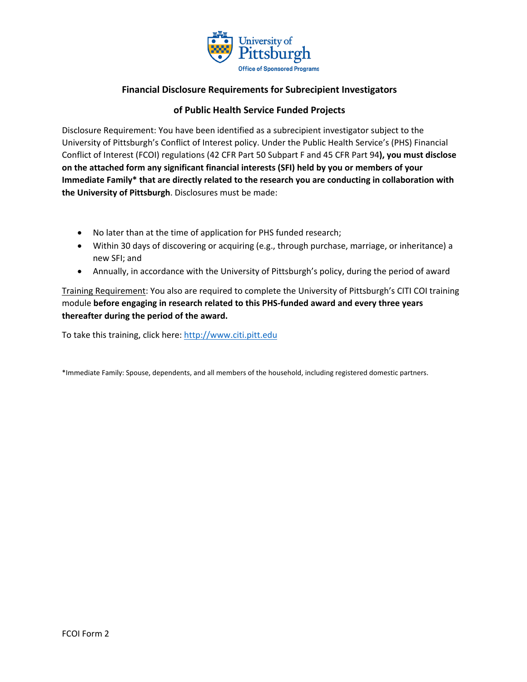

## **Financial Disclosure Requirements for Subrecipient Investigators**

## **of Public Health Service Funded Projects**

Disclosure Requirement: You have been identified as a subrecipient investigator subject to the University of Pittsburgh's Conflict of Interest policy. Under the Public Health Service's (PHS) Financial Conflict of Interest (FCOI) regulations (42 CFR Part 50 Subpart F and 45 CFR Part 94**), you must disclose on the attached form any significant financial interests (SFI) held by you or members of your Immediate Family\* that are directly related to the research you are conducting in collaboration with the University of Pittsburgh**. Disclosures must be made:

- No later than at the time of application for PHS funded research;
- Within 30 days of discovering or acquiring (e.g., through purchase, marriage, or inheritance) a new SFI; and
- Annually, in accordance with the University of Pittsburgh's policy, during the period of award

Training Requirement: You also are required to complete the University of Pittsburgh's CITI COI training module **before engaging in research related to this PHS-funded award and every three years thereafter during the period of the award.**

To take this training, click here: [http://www.citi.pitt.edu](http://www.citi.pitt.edu/)

\*Immediate Family: Spouse, dependents, and all members of the household, including registered domestic partners.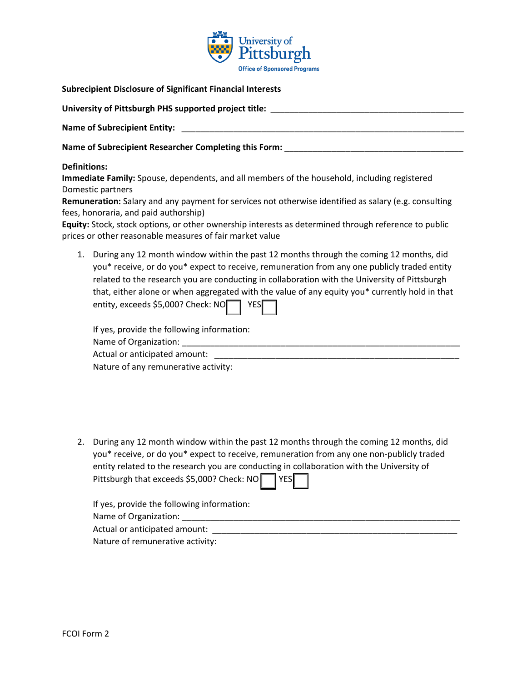

| <b>Subrecipient Disclosure of Significant Financial Interests</b>                                                                                                                                                                                                                                                                                                                                                                                                                                                                                                                                                                                                                                                                                                                                                                                                                                                                                                                                             |
|---------------------------------------------------------------------------------------------------------------------------------------------------------------------------------------------------------------------------------------------------------------------------------------------------------------------------------------------------------------------------------------------------------------------------------------------------------------------------------------------------------------------------------------------------------------------------------------------------------------------------------------------------------------------------------------------------------------------------------------------------------------------------------------------------------------------------------------------------------------------------------------------------------------------------------------------------------------------------------------------------------------|
| University of Pittsburgh PHS supported project title: __________________________                                                                                                                                                                                                                                                                                                                                                                                                                                                                                                                                                                                                                                                                                                                                                                                                                                                                                                                              |
|                                                                                                                                                                                                                                                                                                                                                                                                                                                                                                                                                                                                                                                                                                                                                                                                                                                                                                                                                                                                               |
| Name of Subrecipient Researcher Completing this Form: __________________________                                                                                                                                                                                                                                                                                                                                                                                                                                                                                                                                                                                                                                                                                                                                                                                                                                                                                                                              |
| <b>Definitions:</b><br>Immediate Family: Spouse, dependents, and all members of the household, including registered<br>Domestic partners<br>Remuneration: Salary and any payment for services not otherwise identified as salary (e.g. consulting<br>fees, honoraria, and paid authorship)<br>Equity: Stock, stock options, or other ownership interests as determined through reference to public<br>prices or other reasonable measures of fair market value<br>During any 12 month window within the past 12 months through the coming 12 months, did<br>1.<br>you* receive, or do you* expect to receive, remuneration from any one publicly traded entity<br>related to the research you are conducting in collaboration with the University of Pittsburgh<br>that, either alone or when aggregated with the value of any equity you* currently hold in that<br>entity, exceeds \$5,000? Check: $NO$<br><b>YES</b><br>If yes, provide the following information:<br>Nature of any remunerative activity: |

2. During any 12 month window within the past 12 months through the coming 12 months, did you\* receive, or do you\* expect to receive, remuneration from any one non-publicly traded entity related to the research you are conducting in collaboration with the University of Pittsburgh that exceeds \$5,000? Check: NO YES

| If yes, provide the following information: |  |
|--------------------------------------------|--|
| Name of Organization:                      |  |
| Actual or anticipated amount:              |  |
| Nature of remunerative activity:           |  |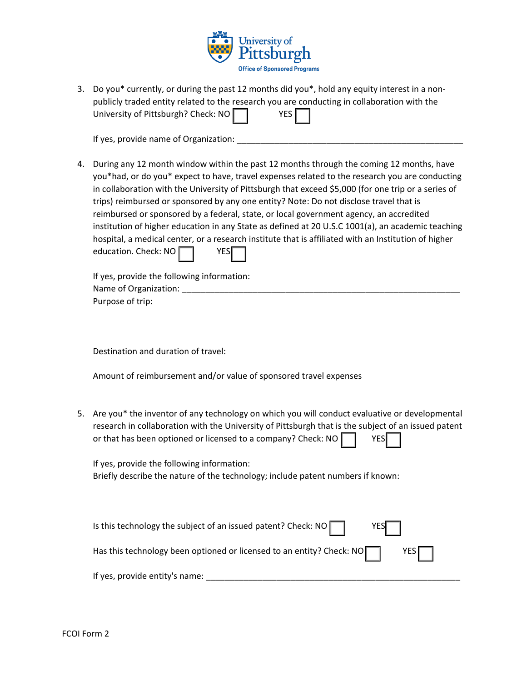

3. Do you\* currently, or during the past 12 months did you\*, hold any equity interest in a nonpublicly traded entity related to the research you are conducting in collaboration with the University of Pittsburgh? Check: NO VES

If yes, provide name of Organization:

4. During any 12 month window within the past 12 months through the coming 12 months, have you\*had, or do you\* expect to have, travel expenses related to the research you are conducting in collaboration with the University of Pittsburgh that exceed \$5,000 (for one trip or a series of trips) reimbursed or sponsored by any one entity? Note: Do not disclose travel that is reimbursed or sponsored by a federal, state, or local government agency, an accredited institution of higher education in any State as defined at 20 U.S.C 1001(a), an academic teaching hospital, a medical center, or a research institute that is affiliated with an Institution of higher education. Check: NO | | YES

| If yes, provide the following information: |
|--------------------------------------------|
| Name of Organization:                      |
| Purpose of trip:                           |

Destination and duration of travel:

Amount of reimbursement and/or value of sponsored travel expenses

5. Are you\* the inventor of any technology on which you will conduct evaluative or developmental research in collaboration with the University of Pittsburgh that is the subject of an issued patent or that has been optioned or licensed to a company? Check: NO | | YES

If yes, provide the following information: Briefly describe the nature of the technology; include patent numbers if known:

| Is this technology the subject of an issued patent? Check: NO $\Box$<br>$YES$ $\vert$        |
|----------------------------------------------------------------------------------------------|
| Has this technology been optioned or licensed to an entity? Check: NO $\Box$<br>$YES$ $\Box$ |
| If yes, provide entity's name:                                                               |